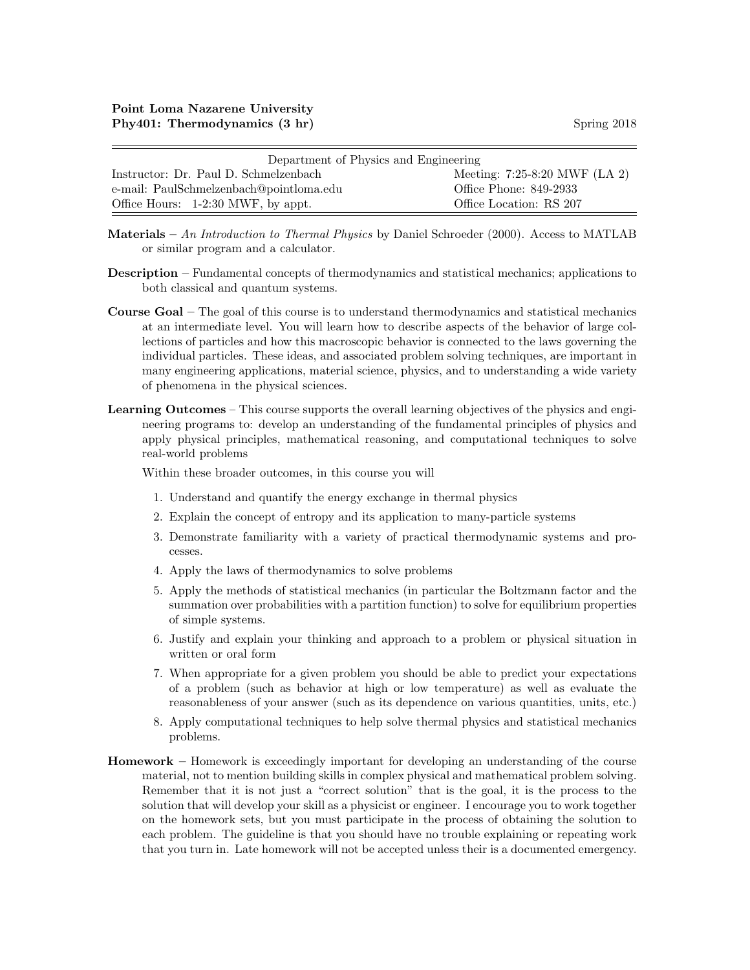| Department of Physics and Engineering   |                                 |  |  |  |
|-----------------------------------------|---------------------------------|--|--|--|
| Instructor: Dr. Paul D. Schmelzenbach   | Meeting: $7:25-8:20$ MWF (LA 2) |  |  |  |
| e-mail: PaulSchmelzenbach@pointloma.edu | Office Phone: 849-2933          |  |  |  |
| Office Hours: 1-2:30 MWF, by appt.      | Office Location: RS 207         |  |  |  |

- Materials An Introduction to Thermal Physics by Daniel Schroeder  $(2000)$ . Access to MATLAB or similar program and a calculator.
- Description Fundamental concepts of thermodynamics and statistical mechanics; applications to both classical and quantum systems.
- Course Goal The goal of this course is to understand thermodynamics and statistical mechanics at an intermediate level. You will learn how to describe aspects of the behavior of large collections of particles and how this macroscopic behavior is connected to the laws governing the individual particles. These ideas, and associated problem solving techniques, are important in many engineering applications, material science, physics, and to understanding a wide variety of phenomena in the physical sciences.
- Learning Outcomes This course supports the overall learning objectives of the physics and engineering programs to: develop an understanding of the fundamental principles of physics and apply physical principles, mathematical reasoning, and computational techniques to solve real-world problems

Within these broader outcomes, in this course you will

- 1. Understand and quantify the energy exchange in thermal physics
- 2. Explain the concept of entropy and its application to many-particle systems
- 3. Demonstrate familiarity with a variety of practical thermodynamic systems and processes.
- 4. Apply the laws of thermodynamics to solve problems
- 5. Apply the methods of statistical mechanics (in particular the Boltzmann factor and the summation over probabilities with a partition function) to solve for equilibrium properties of simple systems.
- 6. Justify and explain your thinking and approach to a problem or physical situation in written or oral form
- 7. When appropriate for a given problem you should be able to predict your expectations of a problem (such as behavior at high or low temperature) as well as evaluate the reasonableness of your answer (such as its dependence on various quantities, units, etc.)
- 8. Apply computational techniques to help solve thermal physics and statistical mechanics problems.
- Homework Homework is exceedingly important for developing an understanding of the course material, not to mention building skills in complex physical and mathematical problem solving. Remember that it is not just a "correct solution" that is the goal, it is the process to the solution that will develop your skill as a physicist or engineer. I encourage you to work together on the homework sets, but you must participate in the process of obtaining the solution to each problem. The guideline is that you should have no trouble explaining or repeating work that you turn in. Late homework will not be accepted unless their is a documented emergency.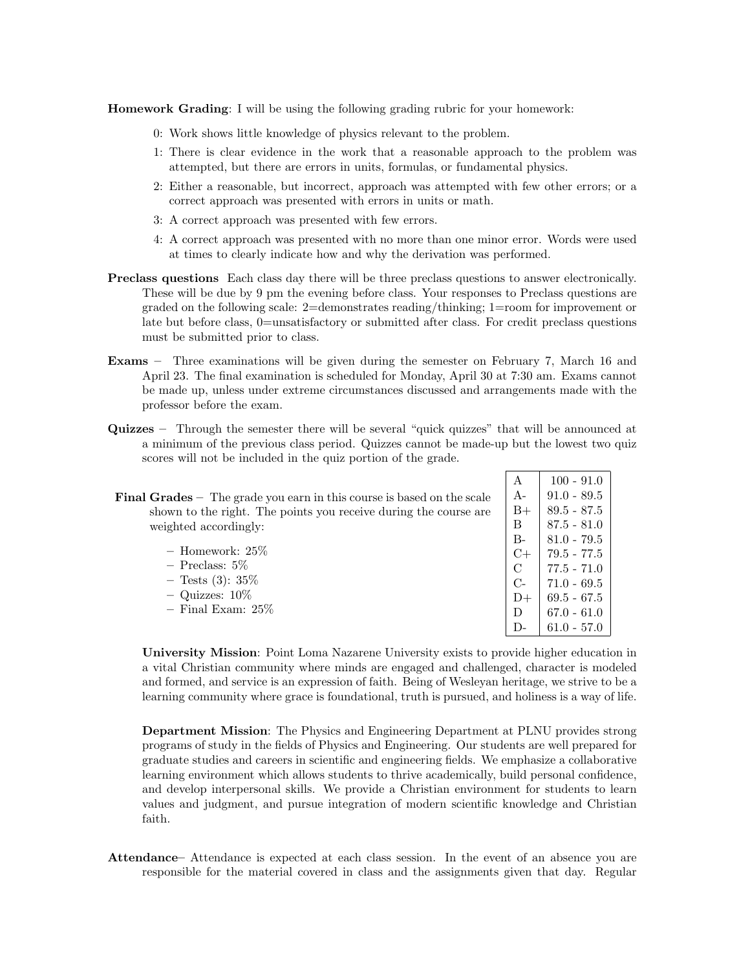Homework Grading: I will be using the following grading rubric for your homework:

- 0: Work shows little knowledge of physics relevant to the problem.
- 1: There is clear evidence in the work that a reasonable approach to the problem was attempted, but there are errors in units, formulas, or fundamental physics.
- 2: Either a reasonable, but incorrect, approach was attempted with few other errors; or a correct approach was presented with errors in units or math.
- 3: A correct approach was presented with few errors.
- 4: A correct approach was presented with no more than one minor error. Words were used at times to clearly indicate how and why the derivation was performed.
- Preclass questions Each class day there will be three preclass questions to answer electronically. These will be due by 9 pm the evening before class. Your responses to Preclass questions are graded on the following scale: 2=demonstrates reading/thinking; 1=room for improvement or late but before class, 0=unsatisfactory or submitted after class. For credit preclass questions must be submitted prior to class.
- Exams Three examinations will be given during the semester on February 7, March 16 and April 23. The final examination is scheduled for Monday, April 30 at 7:30 am. Exams cannot be made up, unless under extreme circumstances discussed and arrangements made with the professor before the exam.
- a minimum of the previous class period. Quizzes cannot be made-up but the lowest two quiz scores will not be included in the quiz portion of the grade.

| al $Grades$ – The grade you earn in this course is based on the scale | $A -$         |
|-----------------------------------------------------------------------|---------------|
| shown to the right. The points you receive during the course are      | $B+$          |
| weighted accordingly:                                                 | B             |
|                                                                       | $B -$         |
| $-$ Homework: 25\%                                                    |               |
| $-$ Preclass: 5\%                                                     | $\frac{C}{C}$ |
| $-$ Tests (3): 35\%                                                   |               |

Quizzes – Through the semester there will be several "quick quizzes" that will be announced at

| $\mathbf{A}$ | 71.V = O7.V   |
|--------------|---------------|
| $B+$         | $89.5 - 87.5$ |
| В            | $87.5 - 81.0$ |
| B-           | $81.0 - 79.5$ |
| C+           | 79.5 - 77.5   |
| $\rm C$      | $77.5 - 71.0$ |
| $C_{\Xi}$    | $71.0 - 69.5$ |
| $D+$         | $69.5 - 67.5$ |
| D            | $67.0 - 61.0$ |
| D-           | $61.0 - 57.0$ |
|              |               |

A  $|100 - 91.0$  $01.0 - 80.5$ 

Final Grades – The grade you earn in this course is based on the scale

 $-$  Quizzes:  $10\%$ – Final Exam: 25%

University Mission: Point Loma Nazarene University exists to provide higher education in a vital Christian community where minds are engaged and challenged, character is modeled and formed, and service is an expression of faith. Being of Wesleyan heritage, we strive to be a learning community where grace is foundational, truth is pursued, and holiness is a way of life.

Department Mission: The Physics and Engineering Department at PLNU provides strong programs of study in the fields of Physics and Engineering. Our students are well prepared for graduate studies and careers in scientific and engineering fields. We emphasize a collaborative learning environment which allows students to thrive academically, build personal confidence, and develop interpersonal skills. We provide a Christian environment for students to learn values and judgment, and pursue integration of modern scientific knowledge and Christian faith.

Attendance– Attendance is expected at each class session. In the event of an absence you are responsible for the material covered in class and the assignments given that day. Regular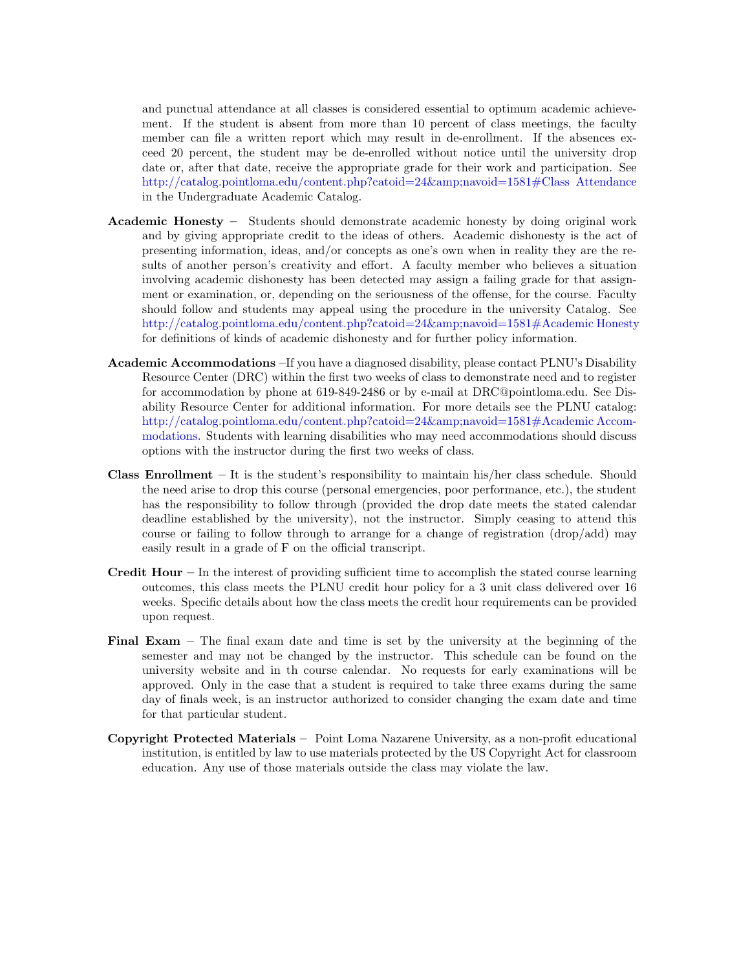and punctual attendance at all classes is considered essential to optimum academic achievement. If the student is absent from more than 10 percent of class meetings, the faculty member can file a written report which may result in de-enrollment. If the absences exceed 20 percent, the student may be de-enrolled without notice until the university drop date or, after that date, receive the appropriate grade for their work and participation. See [http://catalog.pointloma.edu/content.php?catoid=24&navoid=1581#Class Attendance](http://catalog.pointloma.edu/content.php?catoid=24&navoid=1581) in the Undergraduate Academic Catalog.

- Academic Honesty Students should demonstrate academic honesty by doing original work and by giving appropriate credit to the ideas of others. Academic dishonesty is the act of presenting information, ideas, and/or concepts as one's own when in reality they are the results of another person's creativity and effort. A faculty member who believes a situation involving academic dishonesty has been detected may assign a failing grade for that assignment or examination, or, depending on the seriousness of the offense, for the course. Faculty should follow and students may appeal using the procedure in the university Catalog. See [http://catalog.pointloma.edu/content.php?catoid=24&navoid=1581#Academic Honesty](http://catalog.pointloma.edu/content.php?catoid=24&navoid=1581) for definitions of kinds of academic dishonesty and for further policy information.
- Academic Accommodations –If you have a diagnosed disability, please contact PLNU's Disability Resource Center (DRC) within the first two weeks of class to demonstrate need and to register for accommodation by phone at 619-849-2486 or by e-mail at DRC@pointloma.edu. See Disability Resource Center for additional information. For more details see the PLNU catalog: [http://catalog.pointloma.edu/content.php?catoid=24&navoid=1581#Academic Accom](http://catalog.pointloma.edu/content.php?catoid=24&navoid=1581)[modations.](http://catalog.pointloma.edu/content.php?catoid=24&navoid=1581) Students with learning disabilities who may need accommodations should discuss options with the instructor during the first two weeks of class.
- **Class Enrollment** It is the student's responsibility to maintain his/her class schedule. Should the need arise to drop this course (personal emergencies, poor performance, etc.), the student has the responsibility to follow through (provided the drop date meets the stated calendar deadline established by the university), not the instructor. Simply ceasing to attend this course or failing to follow through to arrange for a change of registration (drop/add) may easily result in a grade of F on the official transcript.
- **Credit Hour** In the interest of providing sufficient time to accomplish the stated course learning outcomes, this class meets the PLNU credit hour policy for a 3 unit class delivered over 16 weeks. Specific details about how the class meets the credit hour requirements can be provided upon request.
- Final Exam The final exam date and time is set by the university at the beginning of the semester and may not be changed by the instructor. This schedule can be found on the university website and in th course calendar. No requests for early examinations will be approved. Only in the case that a student is required to take three exams during the same day of finals week, is an instructor authorized to consider changing the exam date and time for that particular student.
- Copyright Protected Materials Point Loma Nazarene University, as a non-profit educational institution, is entitled by law to use materials protected by the US Copyright Act for classroom education. Any use of those materials outside the class may violate the law.